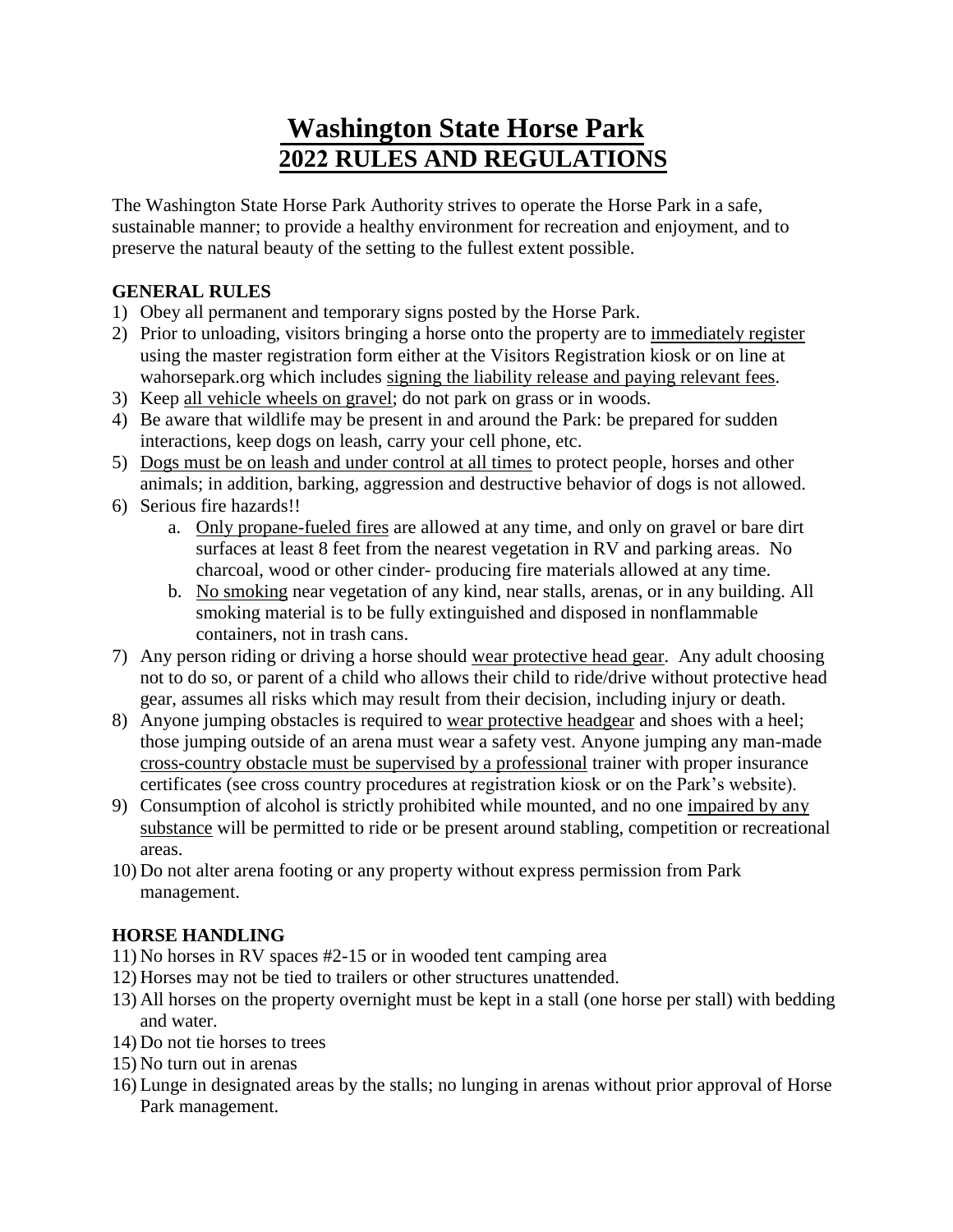# **Washington State Horse Park 2022 RULES AND REGULATIONS**

The Washington State Horse Park Authority strives to operate the Horse Park in a safe, sustainable manner; to provide a healthy environment for recreation and enjoyment, and to preserve the natural beauty of the setting to the fullest extent possible.

## **GENERAL RULES**

- 1) Obey all permanent and temporary signs posted by the Horse Park.
- 2) Prior to unloading, visitors bringing a horse onto the property are to immediately register using the master registration form either at the Visitors Registration kiosk or on line at wahorsepark.org which includes signing the liability release and paying relevant fees.
- 3) Keep all vehicle wheels on gravel; do not park on grass or in woods.
- 4) Be aware that wildlife may be present in and around the Park: be prepared for sudden interactions, keep dogs on leash, carry your cell phone, etc.
- 5) Dogs must be on leash and under control at all times to protect people, horses and other animals; in addition, barking, aggression and destructive behavior of dogs is not allowed.
- 6) Serious fire hazards!!
	- a. Only propane-fueled fires are allowed at any time, and only on gravel or bare dirt surfaces at least 8 feet from the nearest vegetation in RV and parking areas. No charcoal, wood or other cinder- producing fire materials allowed at any time.
	- b. No smoking near vegetation of any kind, near stalls, arenas, or in any building. All smoking material is to be fully extinguished and disposed in nonflammable containers, not in trash cans.
- 7) Any person riding or driving a horse should wear protective head gear. Any adult choosing not to do so, or parent of a child who allows their child to ride/drive without protective head gear, assumes all risks which may result from their decision, including injury or death.
- 8) Anyone jumping obstacles is required to wear protective headgear and shoes with a heel; those jumping outside of an arena must wear a safety vest. Anyone jumping any man-made cross-country obstacle must be supervised by a professional trainer with proper insurance certificates (see cross country procedures at registration kiosk or on the Park's website).
- 9) Consumption of alcohol is strictly prohibited while mounted, and no one impaired by any substance will be permitted to ride or be present around stabling, competition or recreational areas.
- 10) Do not alter arena footing or any property without express permission from Park management.

## **HORSE HANDLING**

- 11) No horses in RV spaces #2-15 or in wooded tent camping area
- 12) Horses may not be tied to trailers or other structures unattended.
- 13) All horses on the property overnight must be kept in a stall (one horse per stall) with bedding and water.
- 14) Do not tie horses to trees
- 15) No turn out in arenas
- 16) Lunge in designated areas by the stalls; no lunging in arenas without prior approval of Horse Park management.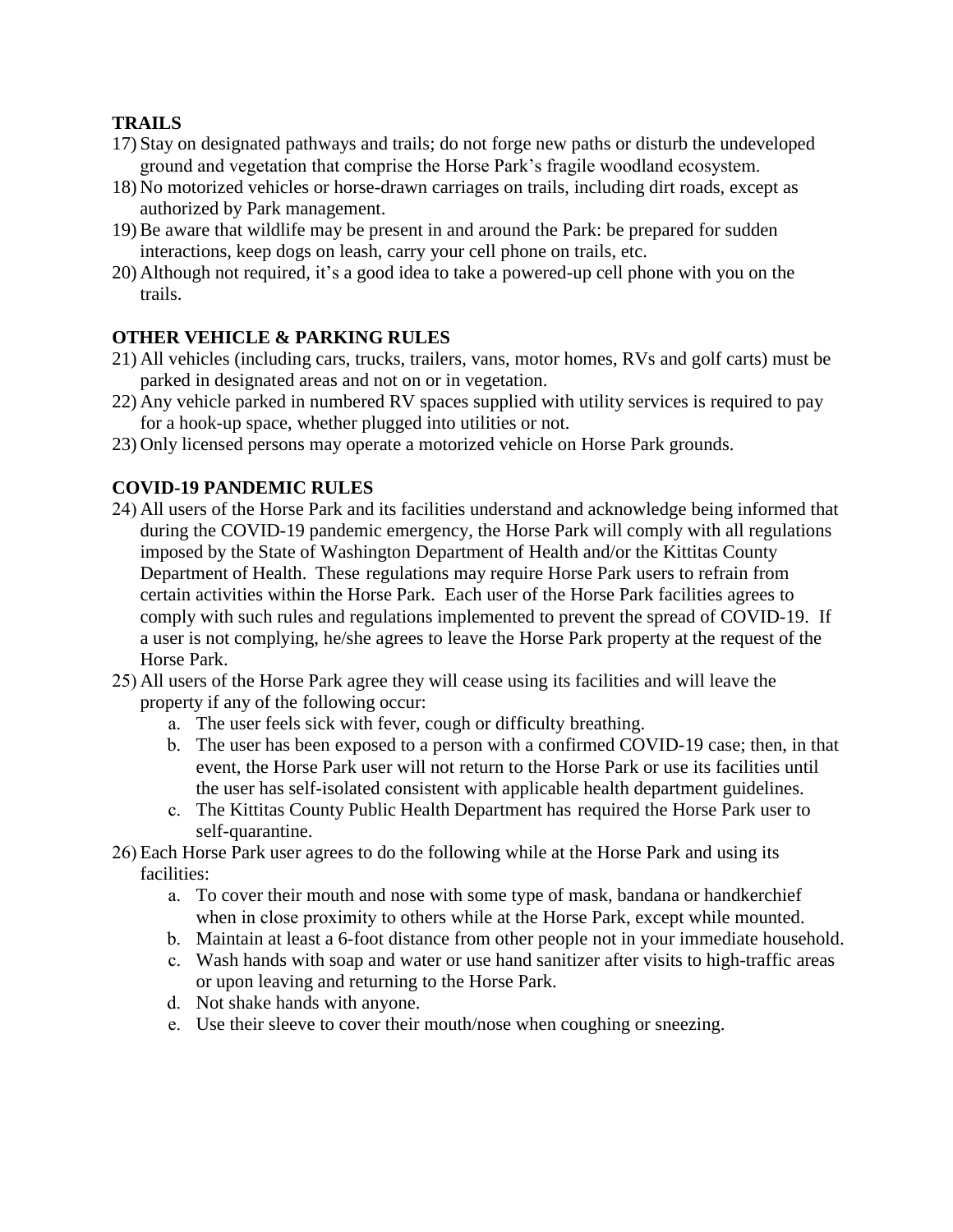### **TRAILS**

- 17) Stay on designated pathways and trails; do not forge new paths or disturb the undeveloped ground and vegetation that comprise the Horse Park's fragile woodland ecosystem.
- 18) No motorized vehicles or horse-drawn carriages on trails, including dirt roads, except as authorized by Park management.
- 19) Be aware that wildlife may be present in and around the Park: be prepared for sudden interactions, keep dogs on leash, carry your cell phone on trails, etc.
- 20) Although not required, it's a good idea to take a powered-up cell phone with you on the trails.

### **OTHER VEHICLE & PARKING RULES**

- 21) All vehicles (including cars, trucks, trailers, vans, motor homes, RVs and golf carts) must be parked in designated areas and not on or in vegetation.
- 22) Any vehicle parked in numbered RV spaces supplied with utility services is required to pay for a hook-up space, whether plugged into utilities or not.
- 23) Only licensed persons may operate a motorized vehicle on Horse Park grounds.

## **COVID-19 PANDEMIC RULES**

- 24) All users of the Horse Park and its facilities understand and acknowledge being informed that during the COVID-19 pandemic emergency, the Horse Park will comply with all regulations imposed by the State of Washington Department of Health and/or the Kittitas County Department of Health. These regulations may require Horse Park users to refrain from certain activities within the Horse Park. Each user of the Horse Park facilities agrees to comply with such rules and regulations implemented to prevent the spread of COVID-19. If a user is not complying, he/she agrees to leave the Horse Park property at the request of the Horse Park.
- 25) All users of the Horse Park agree they will cease using its facilities and will leave the property if any of the following occur:
	- a. The user feels sick with fever, cough or difficulty breathing.
	- b. The user has been exposed to a person with a confirmed COVID-19 case; then, in that event, the Horse Park user will not return to the Horse Park or use its facilities until the user has self-isolated consistent with applicable health department guidelines.
	- c. The Kittitas County Public Health Department has required the Horse Park user to self-quarantine.
- 26) Each Horse Park user agrees to do the following while at the Horse Park and using its facilities:
	- a. To cover their mouth and nose with some type of mask, bandana or handkerchief when in close proximity to others while at the Horse Park, except while mounted.
	- b. Maintain at least a 6-foot distance from other people not in your immediate household.
	- c. Wash hands with soap and water or use hand sanitizer after visits to high-traffic areas or upon leaving and returning to the Horse Park.
	- d. Not shake hands with anyone.
	- e. Use their sleeve to cover their mouth/nose when coughing or sneezing.